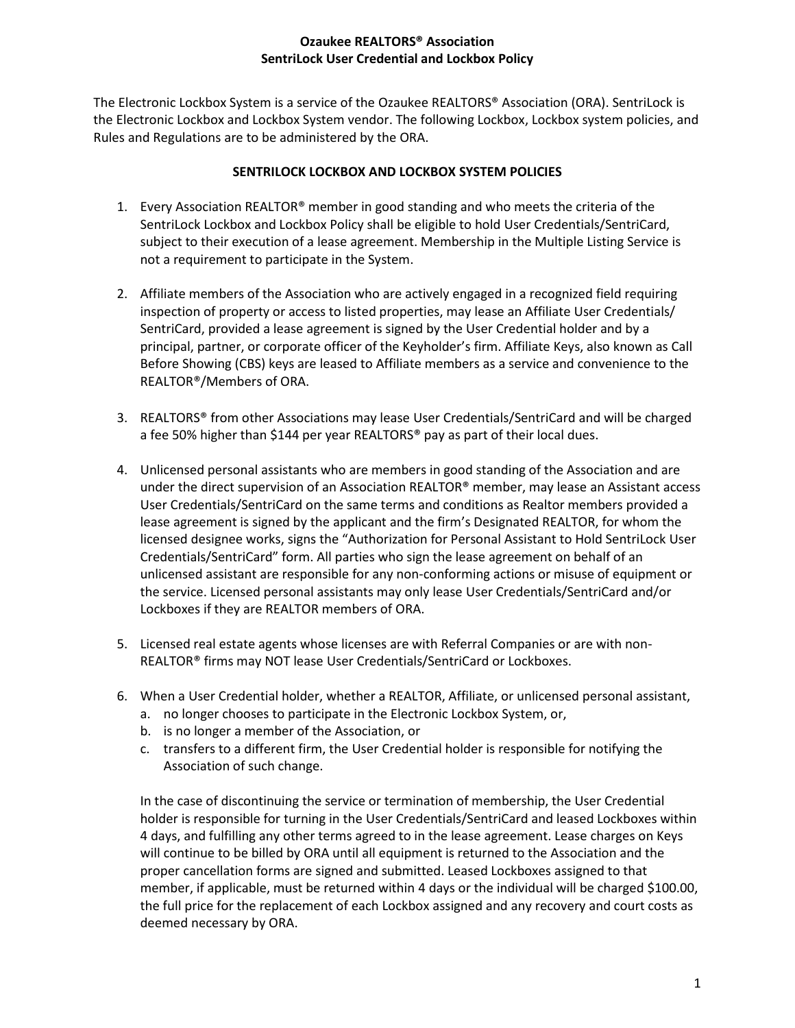The Electronic Lockbox System is a service of the Ozaukee REALTORS® Association (ORA). SentriLock is the Electronic Lockbox and Lockbox System vendor. The following Lockbox, Lockbox system policies, and Rules and Regulations are to be administered by the ORA.

# **SENTRILOCK LOCKBOX AND LOCKBOX SYSTEM POLICIES**

- 1. Every Association REALTOR<sup>®</sup> member in good standing and who meets the criteria of the SentriLock Lockbox and Lockbox Policy shall be eligible to hold User Credentials/SentriCard, subject to their execution of a lease agreement. Membership in the Multiple Listing Service is not a requirement to participate in the System.
- 2. Affiliate members of the Association who are actively engaged in a recognized field requiring inspection of property or access to listed properties, may lease an Affiliate User Credentials/ SentriCard, provided a lease agreement is signed by the User Credential holder and by a principal, partner, or corporate officer of the Keyholder's firm. Affiliate Keys, also known as Call Before Showing (CBS) keys are leased to Affiliate members as a service and convenience to the REALTOR®/Members of ORA.
- 3. REALTORS® from other Associations may lease User Credentials/SentriCard and will be charged a fee 50% higher than \$144 per year REALTORS® pay as part of their local dues.
- 4. Unlicensed personal assistants who are members in good standing of the Association and are under the direct supervision of an Association REALTOR® member, may lease an Assistant access User Credentials/SentriCard on the same terms and conditions as Realtor members provided a lease agreement is signed by the applicant and the firm's Designated REALTOR, for whom the licensed designee works, signs the "Authorization for Personal Assistant to Hold SentriLock User Credentials/SentriCard" form. All parties who sign the lease agreement on behalf of an unlicensed assistant are responsible for any non-conforming actions or misuse of equipment or the service. Licensed personal assistants may only lease User Credentials/SentriCard and/or Lockboxes if they are REALTOR members of ORA.
- 5. Licensed real estate agents whose licenses are with Referral Companies or are with non-REALTOR® firms may NOT lease User Credentials/SentriCard or Lockboxes.
- 6. When a User Credential holder, whether a REALTOR, Affiliate, or unlicensed personal assistant,
	- a. no longer chooses to participate in the Electronic Lockbox System, or,
	- b. is no longer a member of the Association, or
	- c. transfers to a different firm, the User Credential holder is responsible for notifying the Association of such change.

In the case of discontinuing the service or termination of membership, the User Credential holder is responsible for turning in the User Credentials/SentriCard and leased Lockboxes within 4 days, and fulfilling any other terms agreed to in the lease agreement. Lease charges on Keys will continue to be billed by ORA until all equipment is returned to the Association and the proper cancellation forms are signed and submitted. Leased Lockboxes assigned to that member, if applicable, must be returned within 4 days or the individual will be charged \$100.00, the full price for the replacement of each Lockbox assigned and any recovery and court costs as deemed necessary by ORA.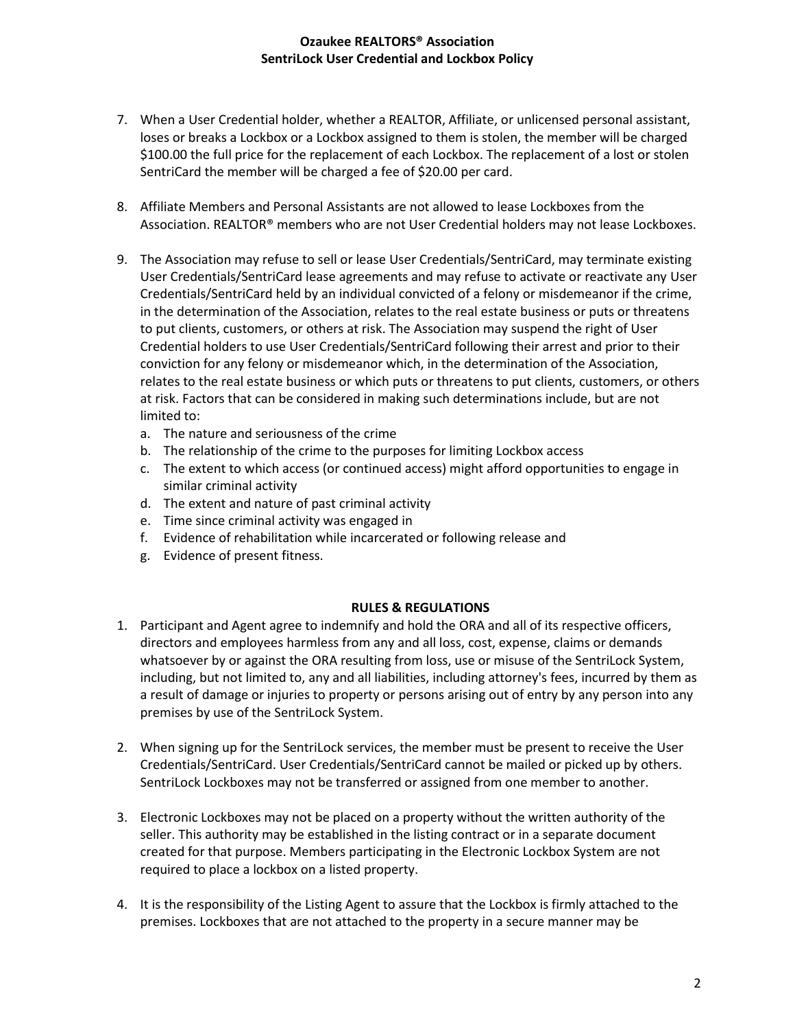- 7. When a User Credential holder, whether a REALTOR, Affiliate, or unlicensed personal assistant, loses or breaks a Lockbox or a Lockbox assigned to them is stolen, the member will be charged \$100.00 the full price for the replacement of each Lockbox. The replacement of a lost or stolen SentriCard the member will be charged a fee of \$20.00 per card.
- 8. Affiliate Members and Personal Assistants are not allowed to lease Lockboxes from the Association. REALTOR® members who are not User Credential holders may not lease Lockboxes.
- 9. The Association may refuse to sell or lease User Credentials/SentriCard, may terminate existing User Credentials/SentriCard lease agreements and may refuse to activate or reactivate any User Credentials/SentriCard held by an individual convicted of a felony or misdemeanor if the crime, in the determination of the Association, relates to the real estate business or puts or threatens to put clients, customers, or others at risk. The Association may suspend the right of User Credential holders to use User Credentials/SentriCard following their arrest and prior to their conviction for any felony or misdemeanor which, in the determination of the Association, relates to the real estate business or which puts or threatens to put clients, customers, or others at risk. Factors that can be considered in making such determinations include, but are not limited to:
	- a. The nature and seriousness of the crime
	- b. The relationship of the crime to the purposes for limiting Lockbox access
	- c. The extent to which access (or continued access) might afford opportunities to engage in similar criminal activity
	- d. The extent and nature of past criminal activity
	- e. Time since criminal activity was engaged in
	- f. Evidence of rehabilitation while incarcerated or following release and
	- g. Evidence of present fitness.

## **RULES & REGULATIONS**

- 1. Participant and Agent agree to indemnify and hold the ORA and all of its respective officers, directors and employees harmless from any and all loss, cost, expense, claims or demands whatsoever by or against the ORA resulting from loss, use or misuse of the SentriLock System, including, but not limited to, any and all liabilities, including attorney's fees, incurred by them as a result of damage or injuries to property or persons arising out of entry by any person into any premises by use of the SentriLock System.
- 2. When signing up for the SentriLock services, the member must be present to receive the User Credentials/SentriCard. User Credentials/SentriCard cannot be mailed or picked up by others. SentriLock Lockboxes may not be transferred or assigned from one member to another.
- 3. Electronic Lockboxes may not be placed on a property without the written authority of the seller. This authority may be established in the listing contract or in a separate document created for that purpose. Members participating in the Electronic Lockbox System are not required to place a lockbox on a listed property.
- 4. It is the responsibility of the Listing Agent to assure that the Lockbox is firmly attached to the premises. Lockboxes that are not attached to the property in a secure manner may be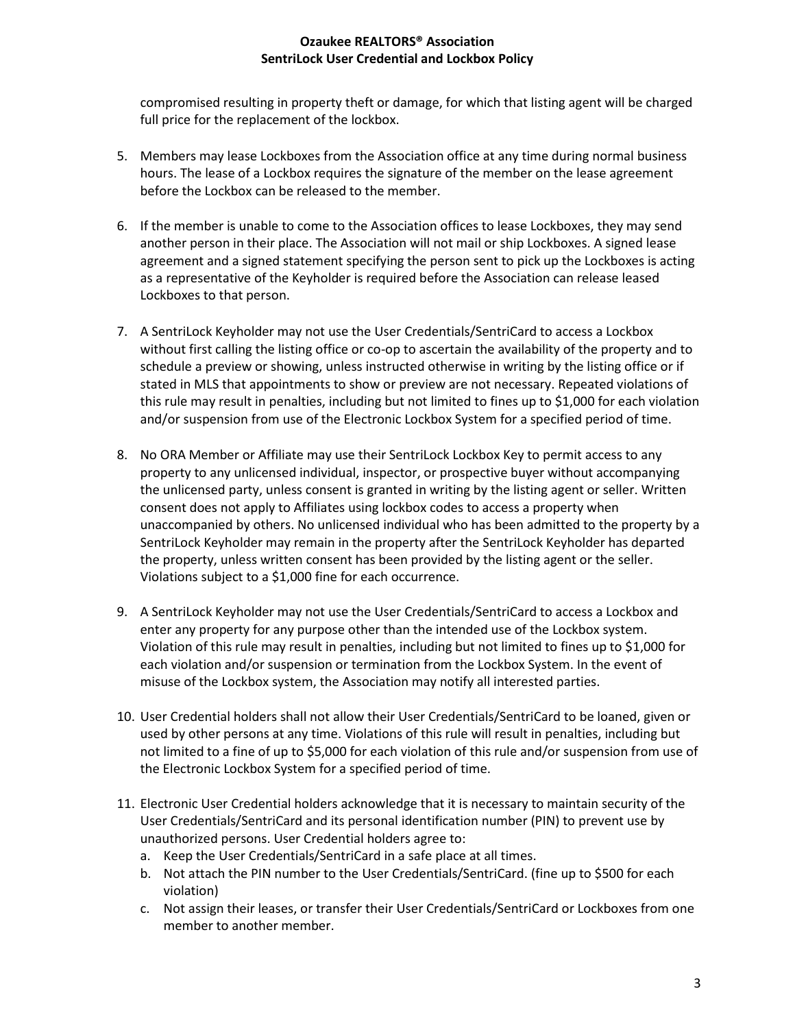compromised resulting in property theft or damage, for which that listing agent will be charged full price for the replacement of the lockbox.

- 5. Members may lease Lockboxes from the Association office at any time during normal business hours. The lease of a Lockbox requires the signature of the member on the lease agreement before the Lockbox can be released to the member.
- 6. If the member is unable to come to the Association offices to lease Lockboxes, they may send another person in their place. The Association will not mail or ship Lockboxes. A signed lease agreement and a signed statement specifying the person sent to pick up the Lockboxes is acting as a representative of the Keyholder is required before the Association can release leased Lockboxes to that person.
- 7. A SentriLock Keyholder may not use the User Credentials/SentriCard to access a Lockbox without first calling the listing office or co-op to ascertain the availability of the property and to schedule a preview or showing, unless instructed otherwise in writing by the listing office or if stated in MLS that appointments to show or preview are not necessary. Repeated violations of this rule may result in penalties, including but not limited to fines up to \$1,000 for each violation and/or suspension from use of the Electronic Lockbox System for a specified period of time.
- 8. No ORA Member or Affiliate may use their SentriLock Lockbox Key to permit access to any property to any unlicensed individual, inspector, or prospective buyer without accompanying the unlicensed party, unless consent is granted in writing by the listing agent or seller. Written consent does not apply to Affiliates using lockbox codes to access a property when unaccompanied by others. No unlicensed individual who has been admitted to the property by a SentriLock Keyholder may remain in the property after the SentriLock Keyholder has departed the property, unless written consent has been provided by the listing agent or the seller. Violations subject to a \$1,000 fine for each occurrence.
- 9. A SentriLock Keyholder may not use the User Credentials/SentriCard to access a Lockbox and enter any property for any purpose other than the intended use of the Lockbox system. Violation of this rule may result in penalties, including but not limited to fines up to \$1,000 for each violation and/or suspension or termination from the Lockbox System. In the event of misuse of the Lockbox system, the Association may notify all interested parties.
- 10. User Credential holders shall not allow their User Credentials/SentriCard to be loaned, given or used by other persons at any time. Violations of this rule will result in penalties, including but not limited to a fine of up to \$5,000 for each violation of this rule and/or suspension from use of the Electronic Lockbox System for a specified period of time.
- 11. Electronic User Credential holders acknowledge that it is necessary to maintain security of the User Credentials/SentriCard and its personal identification number (PIN) to prevent use by unauthorized persons. User Credential holders agree to:
	- a. Keep the User Credentials/SentriCard in a safe place at all times.
	- b. Not attach the PIN number to the User Credentials/SentriCard. (fine up to \$500 for each violation)
	- c. Not assign their leases, or transfer their User Credentials/SentriCard or Lockboxes from one member to another member.